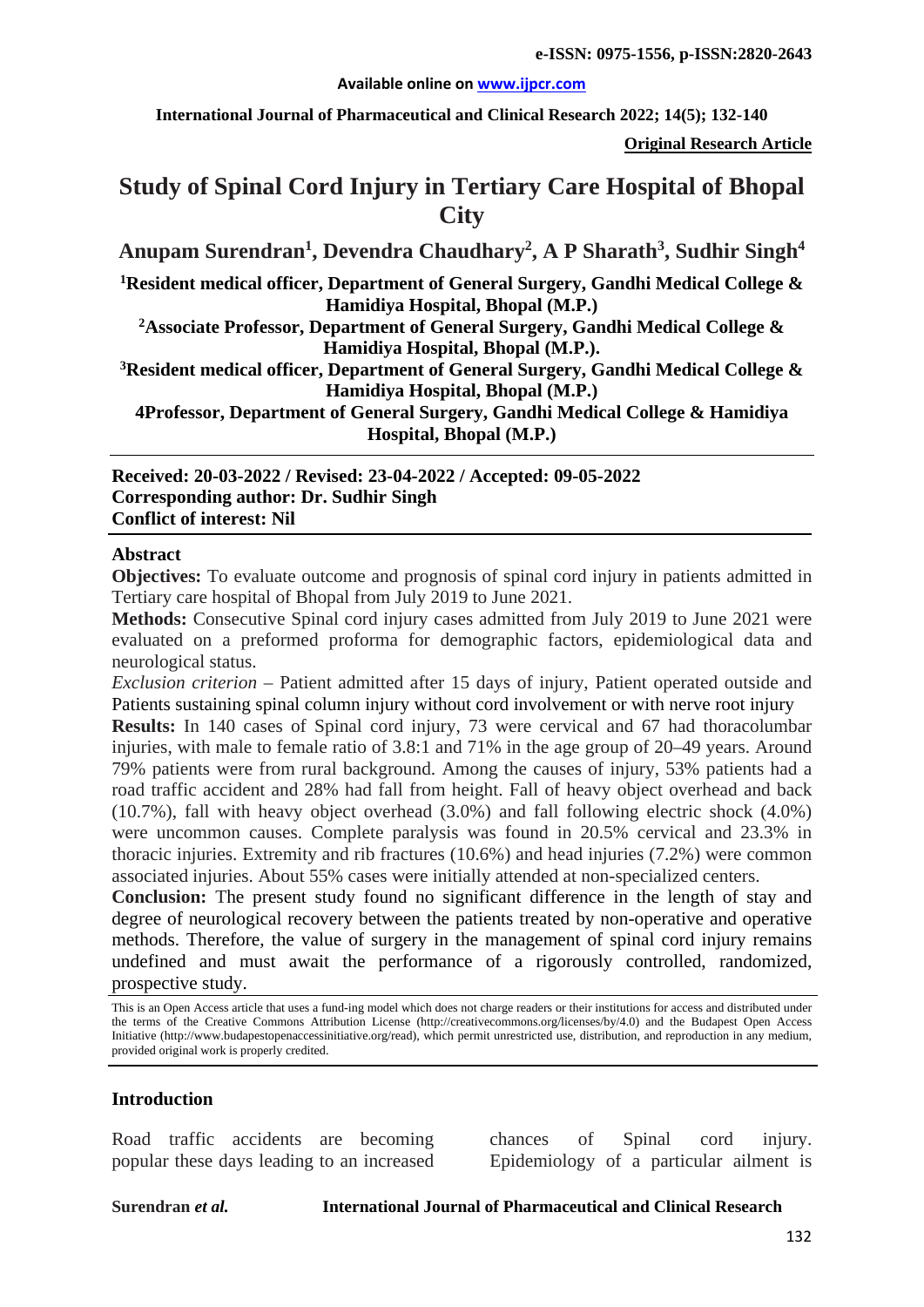#### **Available online on [www.ijpcr.com](http://www.ijpcr.com/)**

**International Journal of Pharmaceutical and Clinical Research 2022; 14(5); 132-140**

**Original Research Article**

# **Study of Spinal Cord Injury in Tertiary Care Hospital of Bhopal City**

**Anupam Surendran<sup>1</sup> , Devendra Chaudhary2 , A P Sharath<sup>3</sup> , Sudhir Singh4**

**1Resident medical officer, Department of General Surgery, Gandhi Medical College & Hamidiya Hospital, Bhopal (M.P.)**

**2Associate Professor, Department of General Surgery, Gandhi Medical College & Hamidiya Hospital, Bhopal (M.P.).**

**3Resident medical officer, Department of General Surgery, Gandhi Medical College & Hamidiya Hospital, Bhopal (M.P.)**

**4Professor, Department of General Surgery, Gandhi Medical College & Hamidiya Hospital, Bhopal (M.P.)**

**Received: 20-03-2022 / Revised: 23-04-2022 / Accepted: 09-05-2022 Corresponding author: Dr. Sudhir Singh Conflict of interest: Nil**

#### **Abstract**

**Objectives:** To evaluate outcome and prognosis of spinal cord injury in patients admitted in Tertiary care hospital of Bhopal from July 2019 to June 2021.

**Methods:** Consecutive Spinal cord injury cases admitted from July 2019 to June 2021 were evaluated on a preformed proforma for demographic factors, epidemiological data and neurological status.

*Exclusion criterion* – Patient admitted after 15 days of injury, Patient operated outside and Patients sustaining spinal column injury without cord involvement or with nerve root injury

**Results:** In 140 cases of Spinal cord injury, 73 were cervical and 67 had thoracolumbar injuries, with male to female ratio of 3.8:1 and 71% in the age group of 20–49 years. Around 79% patients were from rural background. Among the causes of injury, 53% patients had a road traffic accident and 28% had fall from height. Fall of heavy object overhead and back (10.7%), fall with heavy object overhead (3.0%) and fall following electric shock (4.0%) were uncommon causes. Complete paralysis was found in 20.5% cervical and 23.3% in thoracic injuries. Extremity and rib fractures (10.6%) and head injuries (7.2%) were common associated injuries. About 55% cases were initially attended at non-specialized centers.

**Conclusion:** The present study found no significant difference in the length of stay and degree of neurological recovery between the patients treated by non-operative and operative methods. Therefore, the value of surgery in the management of spinal cord injury remains undefined and must await the performance of a rigorously controlled, randomized, prospective study.

## **Introduction**

Road traffic accidents are becoming popular these days leading to an increased

chances of Spinal cord injury. Epidemiology of a particular ailment is

**Surendran** *et al.* **International Journal of Pharmaceutical and Clinical Research**

This is an Open Access article that uses a fund-ing model which does not charge readers or their institutions for access and distributed under the terms of the Creative Commons Attribution License (http://creativecommons.org/licenses/by/4.0) and the Budapest Open Access Initiative (http://www.budapestopenaccessinitiative.org/read), which permit unrestricted use, distribution, and reproduction in any medium, provided original work is properly credited.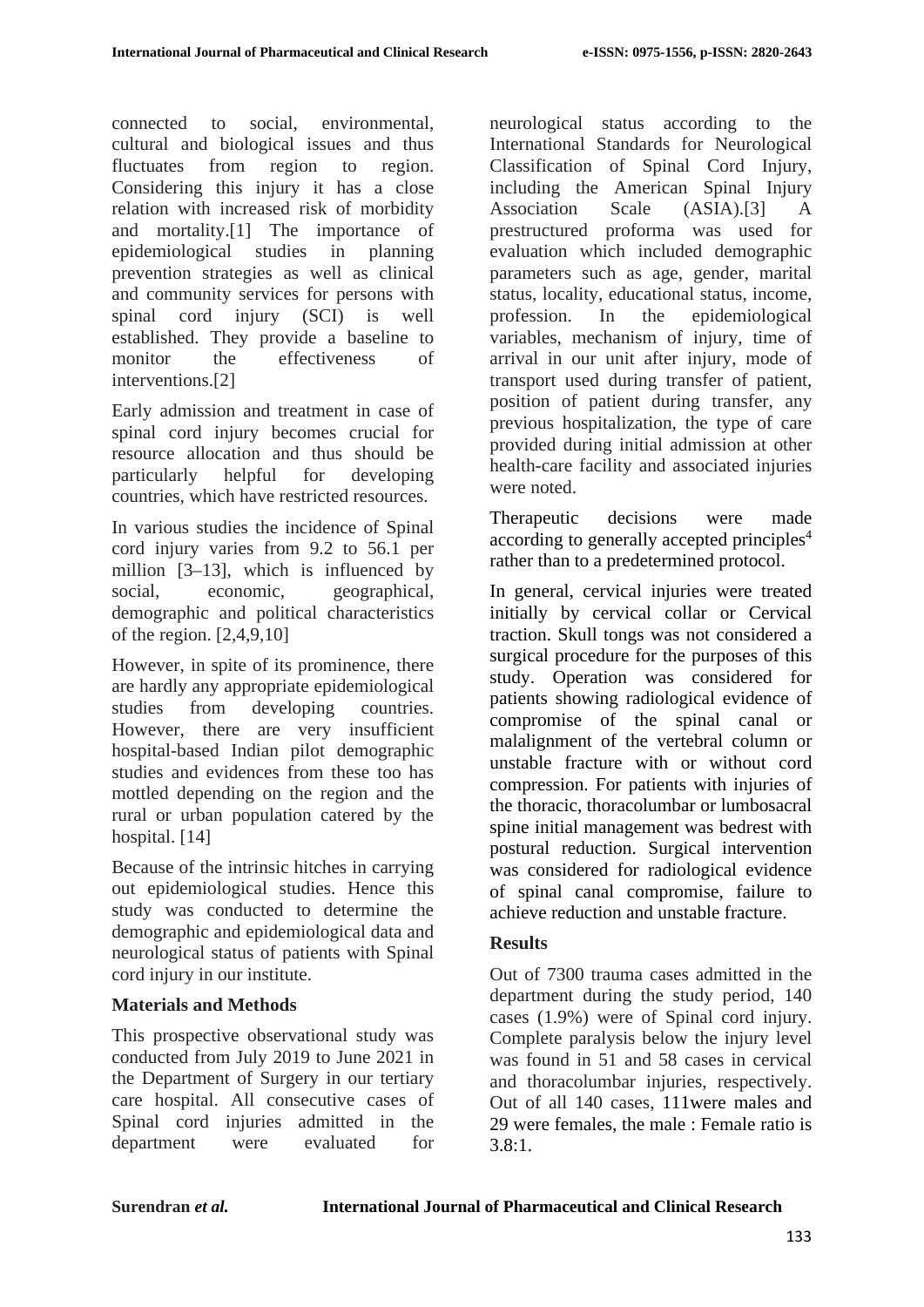connected to social, environmental, cultural and biological issues and thus fluctuates from region to region. Considering this injury it has a close relation with increased risk of morbidity and mortality.[1] The importance of epidemiological studies in planning prevention strategies as well as clinical and community services for persons with spinal cord injury (SCI) is well established. They provide a baseline to monitor the effectiveness of interventions.[2]

Early admission and treatment in case of spinal cord injury becomes crucial for resource allocation and thus should be particularly helpful for developing countries, which have restricted resources.

In various studies the incidence of Spinal cord injury varies from 9.2 to 56.1 per million [3–13], which is influenced by social, economic, geographical, demographic and political characteristics of the region. [2,4,9,10]

However, in spite of its prominence, there are hardly any appropriate epidemiological studies from developing countries. However, there are very insufficient hospital-based Indian pilot demographic studies and evidences from these too has mottled depending on the region and the rural or urban population catered by the hospital. [14]

Because of the intrinsic hitches in carrying out epidemiological studies. Hence this study was conducted to determine the demographic and epidemiological data and neurological status of patients with Spinal cord injury in our institute.

## **Materials and Methods**

This prospective observational study was conducted from July 2019 to June 2021 in the Department of Surgery in our tertiary care hospital. All consecutive cases of Spinal cord injuries admitted in the department were evaluated for neurological status according to the International Standards for Neurological Classification of Spinal Cord Injury, including the American Spinal Injury Association Scale (ASIA).[3] A prestructured proforma was used for evaluation which included demographic parameters such as age, gender, marital status, locality, educational status, income, profession. In the epidemiological variables, mechanism of injury, time of arrival in our unit after injury, mode of transport used during transfer of patient, position of patient during transfer, any previous hospitalization, the type of care provided during initial admission at other health-care facility and associated injuries were noted.

Therapeutic decisions were made according to generally accepted principles<sup>4</sup> rather than to a predetermined protocol.

In general, cervical injuries were treated initially by cervical collar or Cervical traction. Skull tongs was not considered a surgical procedure for the purposes of this study. Operation was considered for patients showing radiological evidence of compromise of the spinal canal or malalignment of the vertebral column or unstable fracture with or without cord compression. For patients with injuries of the thoracic, thoracolumbar or lumbosacral spine initial management was bedrest with postural reduction. Surgical intervention was considered for radiological evidence of spinal canal compromise, failure to achieve reduction and unstable fracture.

## **Results**

Out of 7300 trauma cases admitted in the department during the study period, 140 cases (1.9%) were of Spinal cord injury. Complete paralysis below the injury level was found in 51 and 58 cases in cervical and thoracolumbar injuries, respectively. Out of all 140 cases, 111were males and 29 were females, the male : Female ratio is 3.8:1.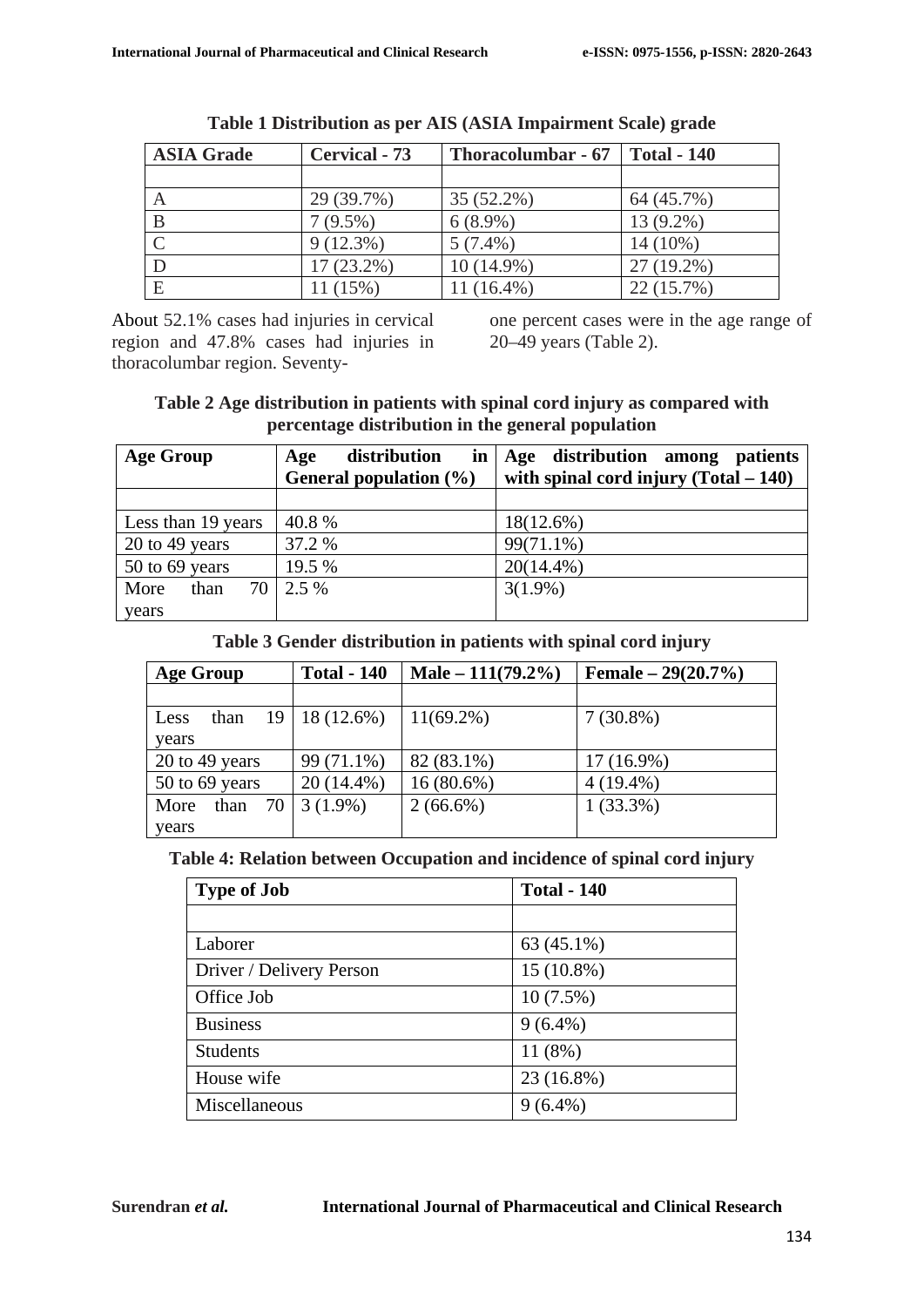| <b>ASIA Grade</b> | <b>Cervical - 73</b> | <b>Thoracolumbar - 67</b> | <b>Total - 140</b> |
|-------------------|----------------------|---------------------------|--------------------|
|                   |                      |                           |                    |
| A                 | 29 (39.7%)           | 35 (52.2%)                | 64 (45.7%)         |
|                   | $7(9.5\%)$           | $6(8.9\%)$                | $13(9.2\%)$        |
|                   | $9(12.3\%)$          | $5(7.4\%)$                | 14 (10%)           |
|                   | 17 (23.2%)           | $10(14.9\%)$              | $27(19.2\%)$       |
| E                 | 11 (15%)             | 11 (16.4%)                | 22 (15.7%)         |

| Table 1 Distribution as per AIS (ASIA Impairment Scale) grade |  |
|---------------------------------------------------------------|--|
|---------------------------------------------------------------|--|

About 52.1% cases had injuries in cervical region and 47.8% cases had injuries in thoracolumbar region. Seventyone percent cases were in the age range of 20–49 years (Table 2).

#### **Table 2 Age distribution in patients with spinal cord injury as compared with percentage distribution in the general population**

| <b>Age Group</b>     | distribution<br>$\mathbf{in}$<br>Age<br>General population (%) | Age distribution among patients<br>with spinal cord injury $(Total - 140)$ |
|----------------------|----------------------------------------------------------------|----------------------------------------------------------------------------|
|                      |                                                                |                                                                            |
| Less than 19 years   | 40.8%                                                          | $18(12.6\%)$                                                               |
| 20 to 49 years       | 37.2 %                                                         | 99(71.1%)                                                                  |
| 50 to 69 years       | 19.5 %                                                         | $20(14.4\%)$                                                               |
| 70 l<br>More<br>than | 2.5 %                                                          | $3(1.9\%)$                                                                 |
| years                |                                                                |                                                                            |

#### **Table 3 Gender distribution in patients with spinal cord injury**

| <b>Age Group</b>   | <b>Total - 140</b>   | Male $-111(79.2\%)$ | Female $-29(20.7%)$ |
|--------------------|----------------------|---------------------|---------------------|
|                    |                      |                     |                     |
| than<br>Less       | $19 \mid 18(12.6\%)$ | $11(69.2\%)$        | $7(30.8\%)$         |
| years              |                      |                     |                     |
| $20$ to 49 years   | 99 (71.1%)           | 82 (83.1%)          | $17(16.9\%)$        |
| 50 to 69 years     | 20 (14.4%)           | $16(80.6\%)$        | $4(19.4\%)$         |
| 70<br>than<br>More | $3(1.9\%)$           | $2(66.6\%)$         | $1(33.3\%)$         |
| years              |                      |                     |                     |

#### **Table 4: Relation between Occupation and incidence of spinal cord injury**

| <b>Type of Job</b>       | <b>Total - 140</b> |
|--------------------------|--------------------|
|                          |                    |
| Laborer                  | 63 (45.1%)         |
| Driver / Delivery Person | $15(10.8\%)$       |
| Office Job               | $10(7.5\%)$        |
| <b>Business</b>          | $9(6.4\%)$         |
| <b>Students</b>          | 11(8%)             |
| House wife               | 23 (16.8%)         |
| Miscellaneous            | $9(6.4\%)$         |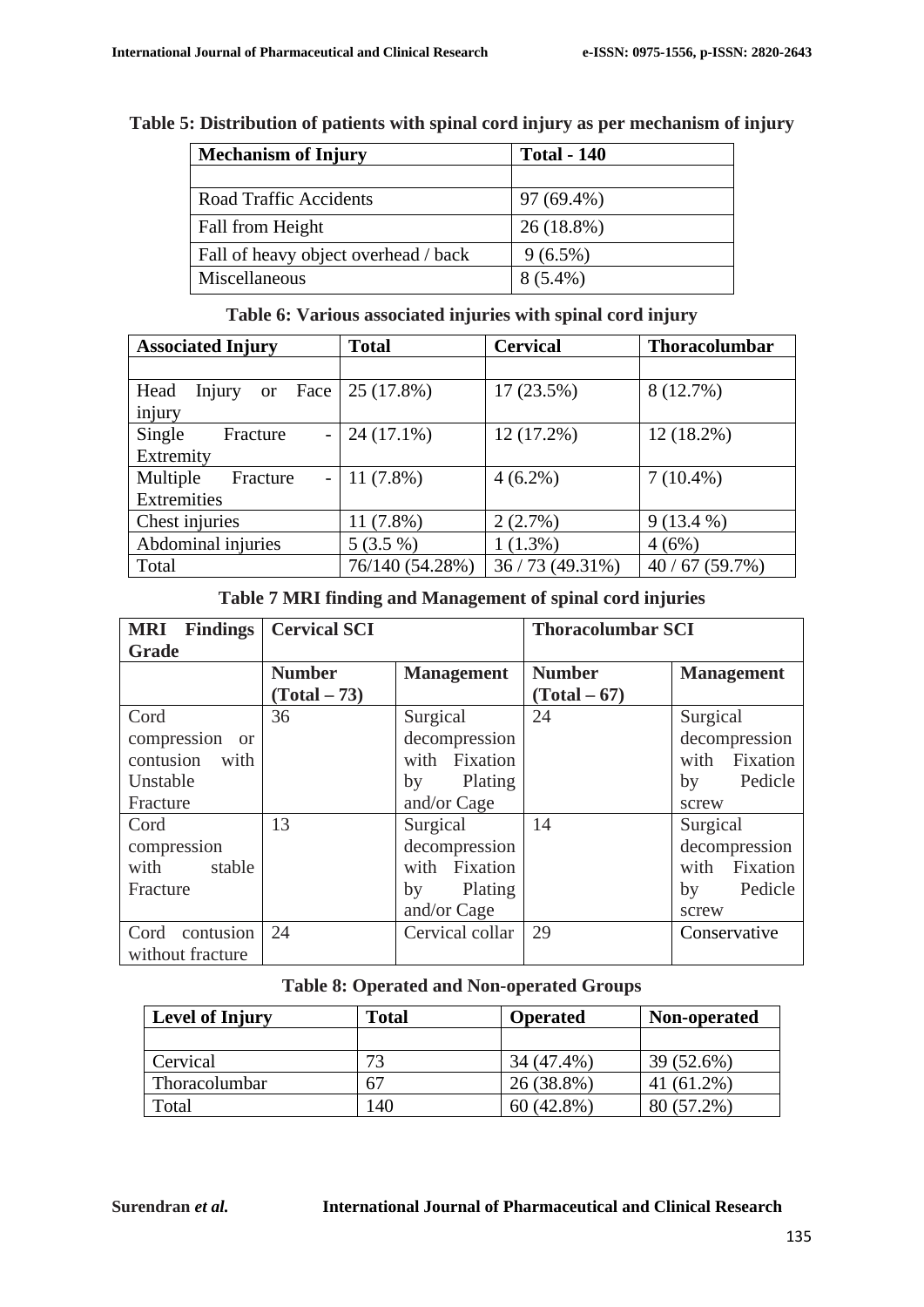| <b>Mechanism of Injury</b> | <b>Total - 140</b> |  |
|----------------------------|--------------------|--|
| Road Traffic Accidents     | 97 (69.4%)         |  |
| Fall from Height           | $26(18.8\%)$       |  |

Fall of heavy object overhead / back  $9(6.5\%)$ Miscellaneous  $8(5.4\%)$ 

## **Table 5: Distribution of patients with spinal cord injury as per mechanism of injury**

### **Table 6: Various associated injuries with spinal cord injury**

| <b>Associated Injury</b>                          | <b>Total</b>    | <b>Cervical</b> | <b>Thoracolumbar</b> |
|---------------------------------------------------|-----------------|-----------------|----------------------|
|                                                   |                 |                 |                      |
| Head<br>Face<br>Injury<br><sub>or</sub><br>injury | 25 (17.8%)      | 17(23.5%)       | 8 (12.7%)            |
| Single<br>Fracture<br>$\qquad \qquad -$           | $24(17.1\%)$    | 12 (17.2%)      | $12(18.2\%)$         |
| Extremity                                         |                 |                 |                      |
| Multiple<br>Fracture<br>$\overline{\phantom{0}}$  | $11(7.8\%)$     | $4(6.2\%)$      | $7(10.4\%)$          |
| Extremities                                       |                 |                 |                      |
| Chest injuries                                    | $11(7.8\%)$     | 2(2.7%)         | $9(13.4\%)$          |
| Abdominal injuries                                | $5(3.5\%)$      | $1(1.3\%)$      | 4(6%)                |
| Total                                             | 76/140 (54.28%) | 36/73(49.31%)   | 40/67(59.7%)         |

#### **Table 7 MRI finding and Management of spinal cord injuries**

| <b>MRI</b> Findings | <b>Cervical SCI</b> |                   | <b>Thoracolumbar SCI</b> |                   |
|---------------------|---------------------|-------------------|--------------------------|-------------------|
| Grade               |                     |                   |                          |                   |
|                     | <b>Number</b>       | <b>Management</b> | <b>Number</b>            | <b>Management</b> |
|                     | $(Total - 73)$      |                   | $(Total - 67)$           |                   |
| Cord                | 36                  | Surgical          | 24                       | Surgical          |
| compression or      |                     | decompression     |                          | decompression     |
| contusion with      |                     | with Fixation     |                          | with Fixation     |
| Unstable            |                     | Plating<br>by     |                          | Pedicle<br>by     |
| Fracture            |                     | and/or Cage       |                          | screw             |
| Cord                | 13                  | Surgical          | 14                       | Surgical          |
| compression         |                     | decompression     |                          | decompression     |
| with stable         |                     | with Fixation     |                          | with Fixation     |
| Fracture            |                     | Plating<br>by     |                          | Pedicle<br>by     |
|                     |                     | and/or Cage       |                          | screw             |
| Cord contusion      | 24                  | Cervical collar   | 29                       | Conservative      |
| without fracture    |                     |                   |                          |                   |

#### **Table 8: Operated and Non-operated Groups**

| <b>Level of Injury</b> | Total | <b>Operated</b> | Non-operated |
|------------------------|-------|-----------------|--------------|
|                        |       |                 |              |
| Cervical               | 73    | 34 (47.4%)      | 39 (52.6%)   |
| Thoracolumbar          | 67    | 26 (38.8%)      | 41 (61.2%)   |
| Total                  | 140   | $60(42.8\%)$    | 80 (57.2%)   |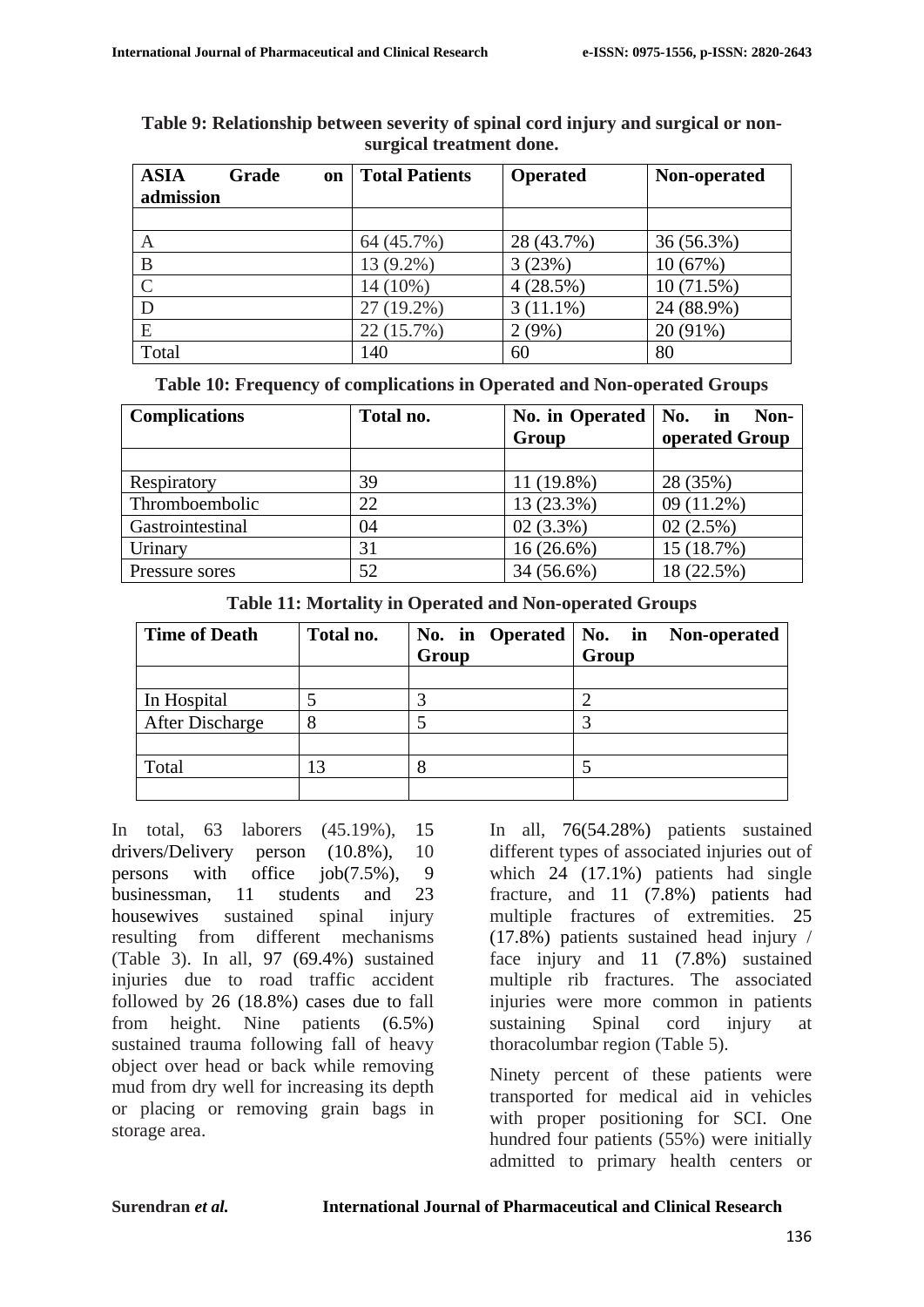| <b>ASIA</b> | Grade<br><b>on</b> | <b>Total Patients</b> | <b>Operated</b> | Non-operated |
|-------------|--------------------|-----------------------|-----------------|--------------|
| admission   |                    |                       |                 |              |
|             |                    |                       |                 |              |
| А           |                    | 64 (45.7%)            | 28 (43.7%)      | 36 (56.3%)   |
| B           |                    | 13 (9.2%)             | 3(23%)          | 10(67%)      |
|             |                    | 14 (10%)              | 4(28.5%)        | 10(71.5%)    |
|             |                    | 27 (19.2%)            | $3(11.1\%)$     | 24 (88.9%)   |
| Ε           |                    | 22 (15.7%)            | 2(9%)           | $20(91\%)$   |
| Total       |                    | 140                   | 60              | 80           |

| Table 9: Relationship between severity of spinal cord injury and surgical or non- |
|-----------------------------------------------------------------------------------|
| surgical treatment done.                                                          |

**Table 10: Frequency of complications in Operated and Non-operated Groups**

| <b>Complications</b> | Total no. | No. in Operated<br>Group | No.<br>Non-<br>in<br>operated Group |
|----------------------|-----------|--------------------------|-------------------------------------|
|                      |           |                          |                                     |
| Respiratory          | 39        | 11 (19.8%)               | 28 (35%)                            |
| Thromboembolic       | 22        | 13 (23.3%)               | $09(11.2\%)$                        |
| Gastrointestinal     | 04        | $02(3.3\%)$              | 02(2.5%)                            |
| Urinary              | 31        | $16(26.6\%)$             | 15 (18.7%)                          |
| Pressure sores       | 52        | 34 (56.6%)               | 18 (22.5%)                          |

**Table 11: Mortality in Operated and Non-operated Groups**

| <b>Time of Death</b> | Total no. | No. in Operated   No. in | Non-operated |
|----------------------|-----------|--------------------------|--------------|
|                      |           | Group                    | Group        |
|                      |           |                          |              |
| In Hospital          |           |                          |              |
| After Discharge      |           |                          |              |
|                      |           |                          |              |
| Total                | 13        | 8                        |              |
|                      |           |                          |              |

In total, 63 laborers (45.19%), 15 drivers/Delivery person (10.8%), 10 persons with office job(7.5%), 9 businessman, 11 students and 23 housewives sustained spinal injury resulting from different mechanisms (Table 3). In all, 97 (69.4%) sustained injuries due to road traffic accident followed by 26 (18.8%) cases due to fall from height. Nine patients (6.5%) sustained trauma following fall of heavy object over head or back while removing mud from dry well for increasing its depth or placing or removing grain bags in storage area.

In all, 76(54.28%) patients sustained different types of associated injuries out of which 24 (17.1%) patients had single fracture, and 11 (7.8%) patients had multiple fractures of extremities. 25 (17.8%) patients sustained head injury / face injury and 11 (7.8%) sustained multiple rib fractures. The associated injuries were more common in patients sustaining Spinal cord injury at thoracolumbar region (Table 5).

Ninety percent of these patients were transported for medical aid in vehicles with proper positioning for SCI. One hundred four patients (55%) were initially admitted to primary health centers or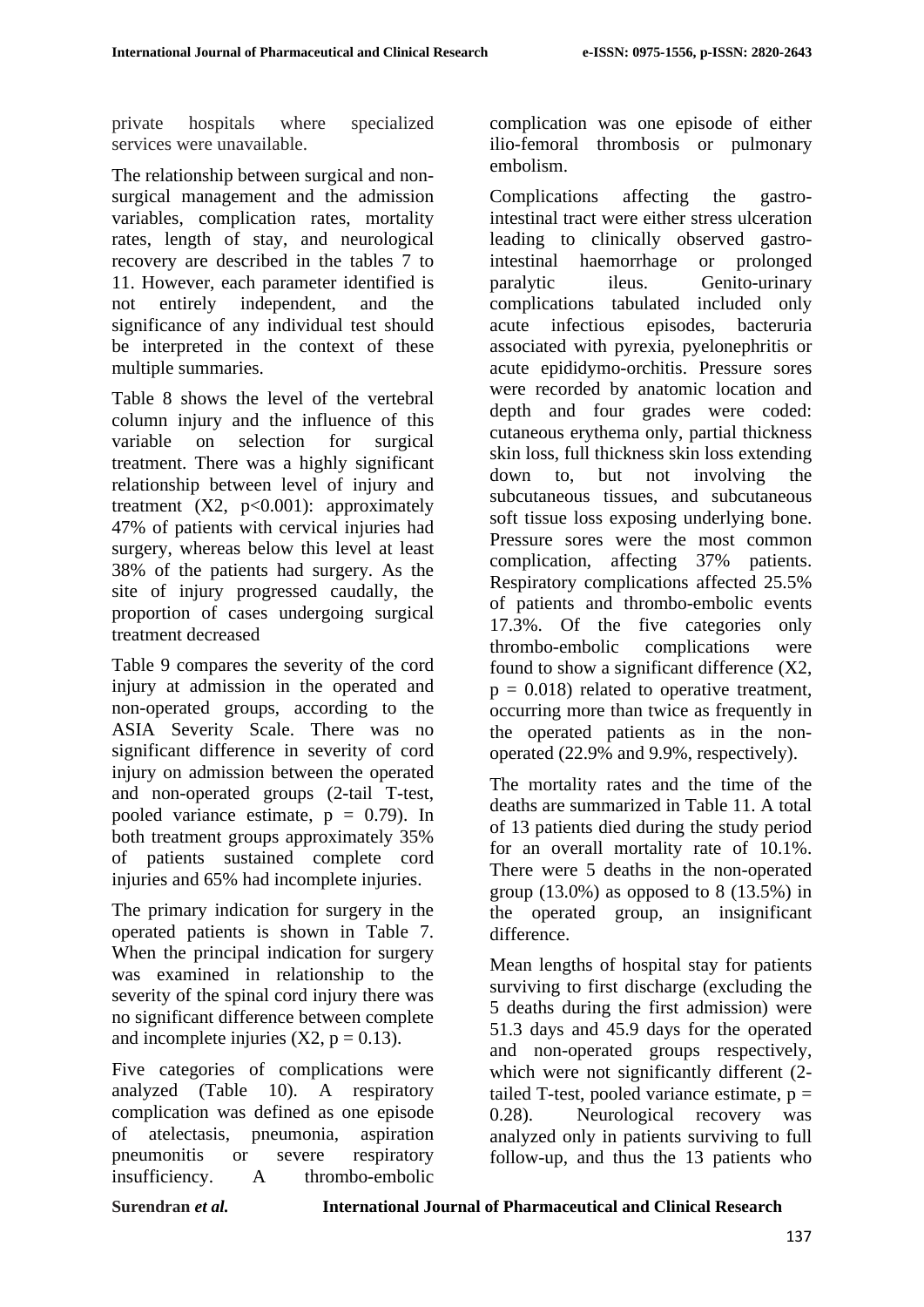private hospitals where specialized services were unavailable.

The relationship between surgical and nonsurgical management and the admission variables, complication rates, mortality rates, length of stay, and neurological recovery are described in the tables 7 to 11. However, each parameter identified is not entirely independent, and the significance of any individual test should be interpreted in the context of these multiple summaries.

Table 8 shows the level of the vertebral column injury and the influence of this variable on selection for surgical treatment. There was a highly significant relationship between level of injury and treatment  $(X2, p<0.001)$ : approximately 47% of patients with cervical injuries had surgery, whereas below this level at least 38% of the patients had surgery. As the site of injury progressed caudally, the proportion of cases undergoing surgical treatment decreased

Table 9 compares the severity of the cord injury at admission in the operated and non-operated groups, according to the ASIA Severity Scale. There was no significant difference in severity of cord injury on admission between the operated and non-operated groups (2-tail T-test, pooled variance estimate,  $p = 0.79$ . In both treatment groups approximately 35% of patients sustained complete cord injuries and 65% had incomplete injuries.

The primary indication for surgery in the operated patients is shown in Table 7. When the principal indication for surgery was examined in relationship to the severity of the spinal cord injury there was no significant difference between complete and incomplete injuries  $(X2, p = 0.13)$ .

Five categories of complications were analyzed (Table 10). A respiratory complication was defined as one episode of atelectasis, pneumonia, aspiration pneumonitis or severe respiratory insufficiency. A thrombo-embolic

complication was one episode of either ilio-femoral thrombosis or pulmonary embolism.

Complications affecting the gastrointestinal tract were either stress ulceration leading to clinically observed gastrointestinal haemorrhage or prolonged paralytic ileus. Genito-urinary complications tabulated included only acute infectious episodes, bacteruria associated with pyrexia, pyelonephritis or acute epididymo-orchitis. Pressure sores were recorded by anatomic location and depth and four grades were coded: cutaneous erythema only, partial thickness skin loss, full thickness skin loss extending down to, but not involving the subcutaneous tissues, and subcutaneous soft tissue loss exposing underlying bone. Pressure sores were the most common complication, affecting 37% patients. Respiratory complications affected 25.5% of patients and thrombo-embolic events 17.3%. Of the five categories only thrombo-embolic complications were found to show a significant difference (X2,  $p = 0.018$ ) related to operative treatment, occurring more than twice as frequently in the operated patients as in the nonoperated (22.9% and 9.9%, respectively).

The mortality rates and the time of the deaths are summarized in Table 11. A total of 13 patients died during the study period for an overall mortality rate of 10.1%. There were 5 deaths in the non-operated group  $(13.0\%)$  as opposed to 8  $(13.5\%)$  in the operated group, an insignificant difference.

Mean lengths of hospital stay for patients surviving to first discharge (excluding the 5 deaths during the first admission) were 51.3 days and 45.9 days for the operated and non-operated groups respectively, which were not significantly different  $(2$ tailed T-test, pooled variance estimate,  $p =$ 0.28). Neurological recovery was analyzed only in patients surviving to full follow-up, and thus the 13 patients who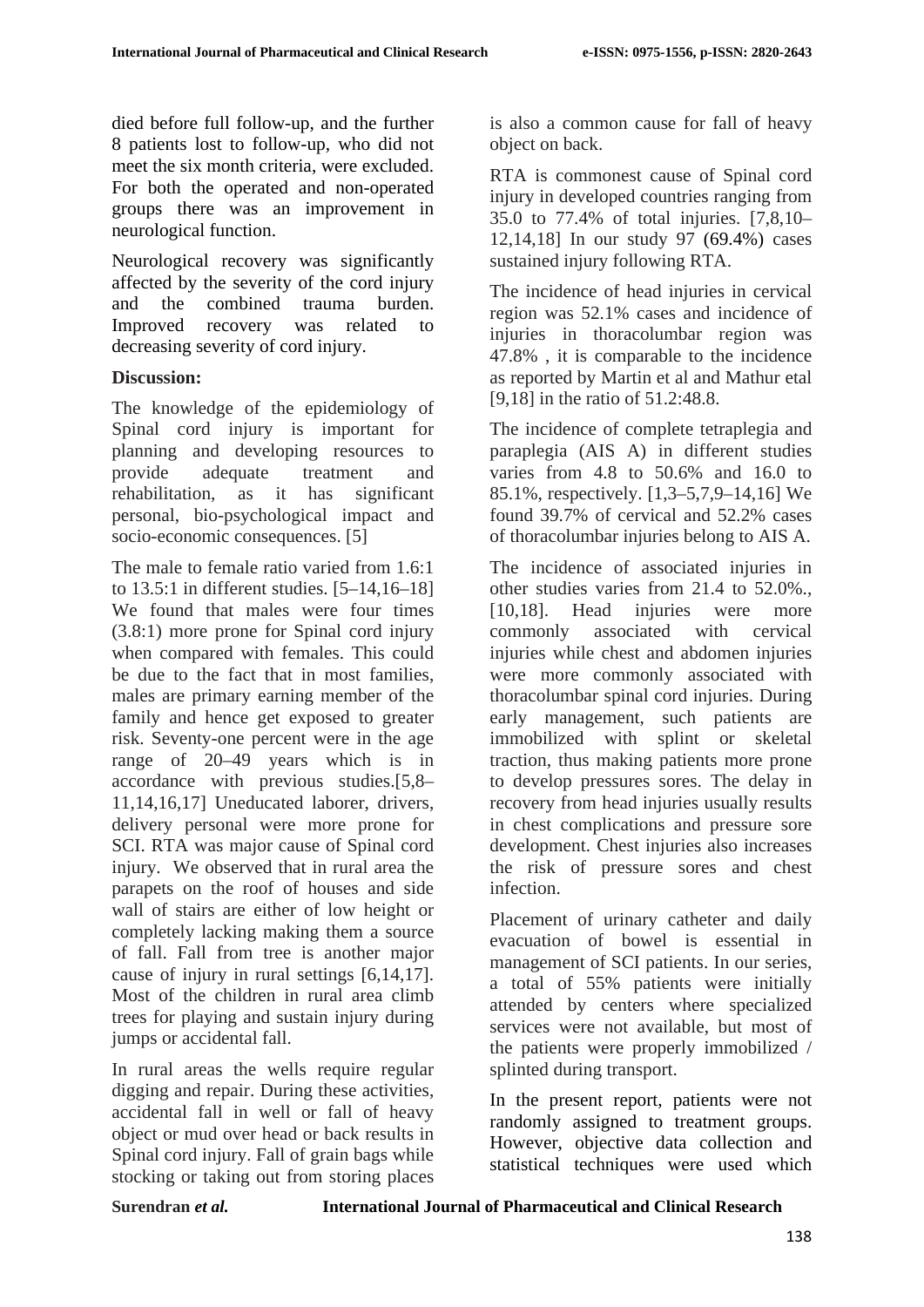died before full follow-up, and the further 8 patients lost to follow-up, who did not meet the six month criteria, were excluded. For both the operated and non-operated groups there was an improvement in neurological function.

Neurological recovery was significantly affected by the severity of the cord injury and the combined trauma burden. Improved recovery was related to decreasing severity of cord injury.

## **Discussion:**

The knowledge of the epidemiology of Spinal cord injury is important for planning and developing resources to provide adequate treatment and rehabilitation, as it has significant personal, bio-psychological impact and socio-economic consequences. [5]

The male to female ratio varied from 1.6:1 to 13.5:1 in different studies. [5–14,16–18] We found that males were four times (3.8:1) more prone for Spinal cord injury when compared with females. This could be due to the fact that in most families, males are primary earning member of the family and hence get exposed to greater risk. Seventy-one percent were in the age range of 20–49 years which is in accordance with previous studies.[5,8– 11,14,16,17] Uneducated laborer, drivers, delivery personal were more prone for SCI. RTA was major cause of Spinal cord injury. We observed that in rural area the parapets on the roof of houses and side wall of stairs are either of low height or completely lacking making them a source of fall. Fall from tree is another major cause of injury in rural settings [6,14,17]. Most of the children in rural area climb trees for playing and sustain injury during jumps or accidental fall.

In rural areas the wells require regular digging and repair. During these activities, accidental fall in well or fall of heavy object or mud over head or back results in Spinal cord injury. Fall of grain bags while stocking or taking out from storing places

is also a common cause for fall of heavy object on back.

RTA is commonest cause of Spinal cord injury in developed countries ranging from 35.0 to 77.4% of total injuries. [7,8,10– 12,14,18] In our study 97 (69.4%) cases sustained injury following RTA.

The incidence of head injuries in cervical region was 52.1% cases and incidence of injuries in thoracolumbar region was 47.8% , it is comparable to the incidence as reported by Martin et al and Mathur etal [9,18] in the ratio of 51.2:48.8.

The incidence of complete tetraplegia and paraplegia (AIS A) in different studies varies from 4.8 to 50.6% and 16.0 to 85.1%, respectively. [1,3–5,7,9–14,16] We found 39.7% of cervical and 52.2% cases of thoracolumbar injuries belong to AIS A.

The incidence of associated injuries in other studies varies from 21.4 to 52.0%., [10,18]. Head injuries were more commonly associated with cervical injuries while chest and abdomen injuries were more commonly associated with thoracolumbar spinal cord injuries. During early management, such patients are immobilized with splint or skeletal traction, thus making patients more prone to develop pressures sores. The delay in recovery from head injuries usually results in chest complications and pressure sore development. Chest injuries also increases the risk of pressure sores and chest infection.

Placement of urinary catheter and daily evacuation of bowel is essential in management of SCI patients. In our series, a total of 55% patients were initially attended by centers where specialized services were not available, but most of the patients were properly immobilized / splinted during transport.

In the present report, patients were not randomly assigned to treatment groups. However, objective data collection and statistical techniques were used which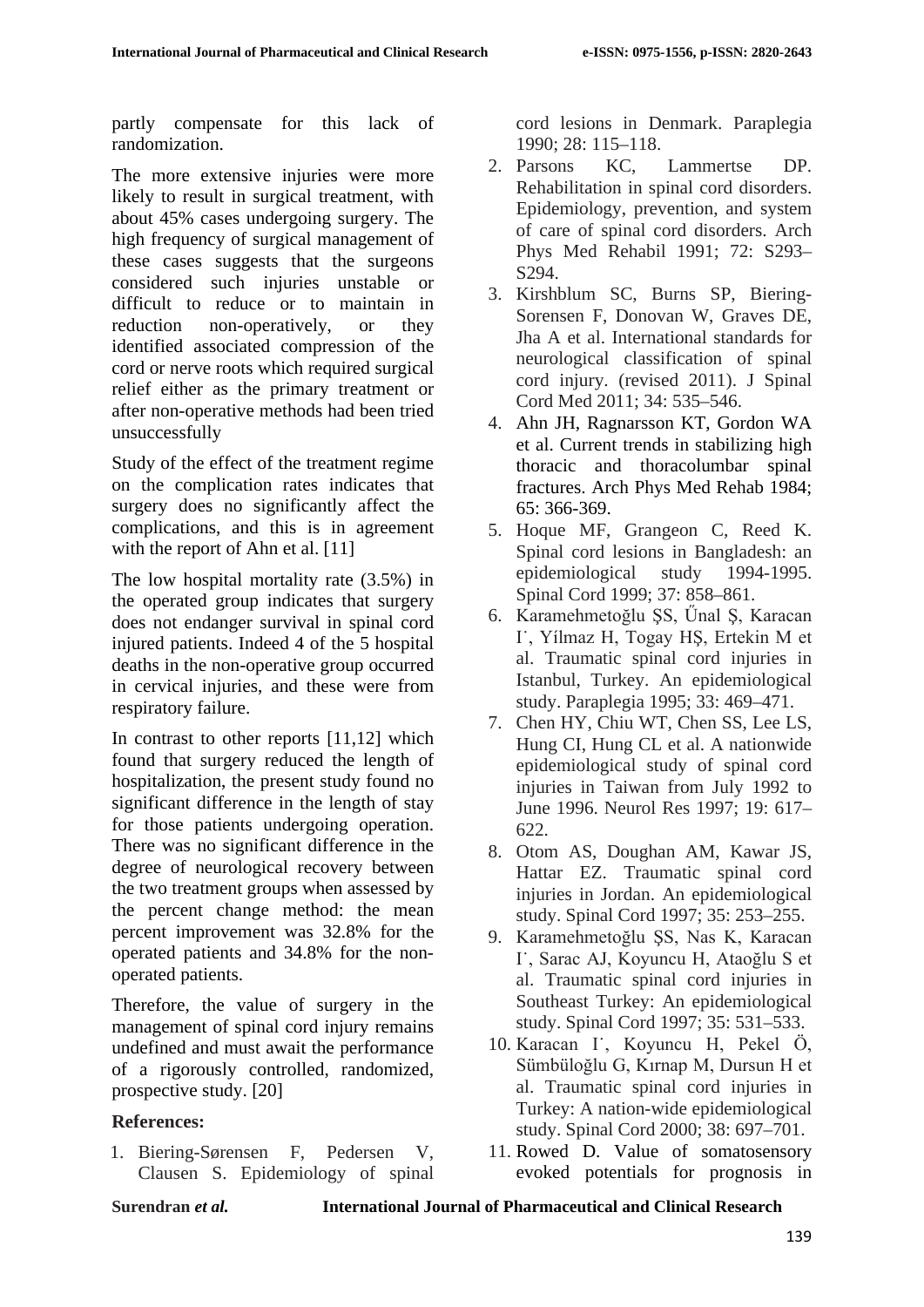partly compensate for this lack of randomization.

The more extensive injuries were more likely to result in surgical treatment, with about 45% cases undergoing surgery. The high frequency of surgical management of these cases suggests that the surgeons considered such injuries unstable or difficult to reduce or to maintain in reduction non-operatively, or they identified associated compression of the cord or nerve roots which required surgical relief either as the primary treatment or after non-operative methods had been tried unsuccessfully

Study of the effect of the treatment regime on the complication rates indicates that surgery does no significantly affect the complications, and this is in agreement with the report of Ahn et al. [11]

The low hospital mortality rate (3.5%) in the operated group indicates that surgery does not endanger survival in spinal cord injured patients. Indeed 4 of the 5 hospital deaths in the non-operative group occurred in cervical injuries, and these were from respiratory failure.

In contrast to other reports [11,12] which found that surgery reduced the length of hospitalization, the present study found no significant difference in the length of stay for those patients undergoing operation. There was no significant difference in the degree of neurological recovery between the two treatment groups when assessed by the percent change method: the mean percent improvement was 32.8% for the operated patients and 34.8% for the nonoperated patients.

Therefore, the value of surgery in the management of spinal cord injury remains undefined and must await the performance of a rigorously controlled, randomized, prospective study. [20]

## **References:**

1. Biering-Sørensen F, Pedersen V, Clausen S. Epidemiology of spinal cord lesions in Denmark. Paraplegia 1990; 28: 115–118.

- 2. Parsons KC, Lammertse DP. Rehabilitation in spinal cord disorders. Epidemiology, prevention, and system of care of spinal cord disorders. Arch Phys Med Rehabil 1991; 72: S293– S294.
- 3. Kirshblum SC, Burns SP, Biering-Sorensen F, Donovan W, Graves DE, Jha A et al. International standards for neurological classification of spinal cord injury. (revised 2011). J Spinal Cord Med 2011; 34: 535–546.
- 4. Ahn JH, Ragnarsson KT, Gordon WA et al. Current trends in stabilizing high thoracic and thoracolumbar spinal fractures. Arch Phys Med Rehab 1984; 65: 366-369.
- 5. Hoque MF, Grangeon C, Reed K. Spinal cord lesions in Bangladesh: an epidemiological study 1994-1995. Spinal Cord 1999; 37: 858–861.
- 6. Karamehmetoğlu ŞS, Űnal Ş, Karacan I˙, Yílmaz H, Togay HŞ, Ertekin M et al. Traumatic spinal cord injuries in Istanbul, Turkey. An epidemiological study. Paraplegia 1995; 33: 469–471.
- 7. Chen HY, Chiu WT, Chen SS, Lee LS, Hung CI, Hung CL et al. A nationwide epidemiological study of spinal cord injuries in Taiwan from July 1992 to June 1996. Neurol Res 1997; 19: 617– 622.
- 8. Otom AS, Doughan AM, Kawar JS, Hattar EZ. Traumatic spinal cord injuries in Jordan. An epidemiological study. Spinal Cord 1997; 35: 253–255.
- 9. Karamehmetoğlu ŞS, Nas K, Karacan I˙, Sarac AJ, Koyuncu H, Ataoğlu S et al. Traumatic spinal cord injuries in Southeast Turkey: An epidemiological study. Spinal Cord 1997; 35: 531–533.
- 10. Karacan I˙, Koyuncu H, Pekel Ö, Sümbüloğlu G, Kırnap M, Dursun H et al. Traumatic spinal cord injuries in Turkey: A nation-wide epidemiological study. Spinal Cord 2000; 38: 697–701.
- 11. Rowed D. Value of somatosensory evoked potentials for prognosis in

**Surendran** *et al.* **International Journal of Pharmaceutical and Clinical Research**